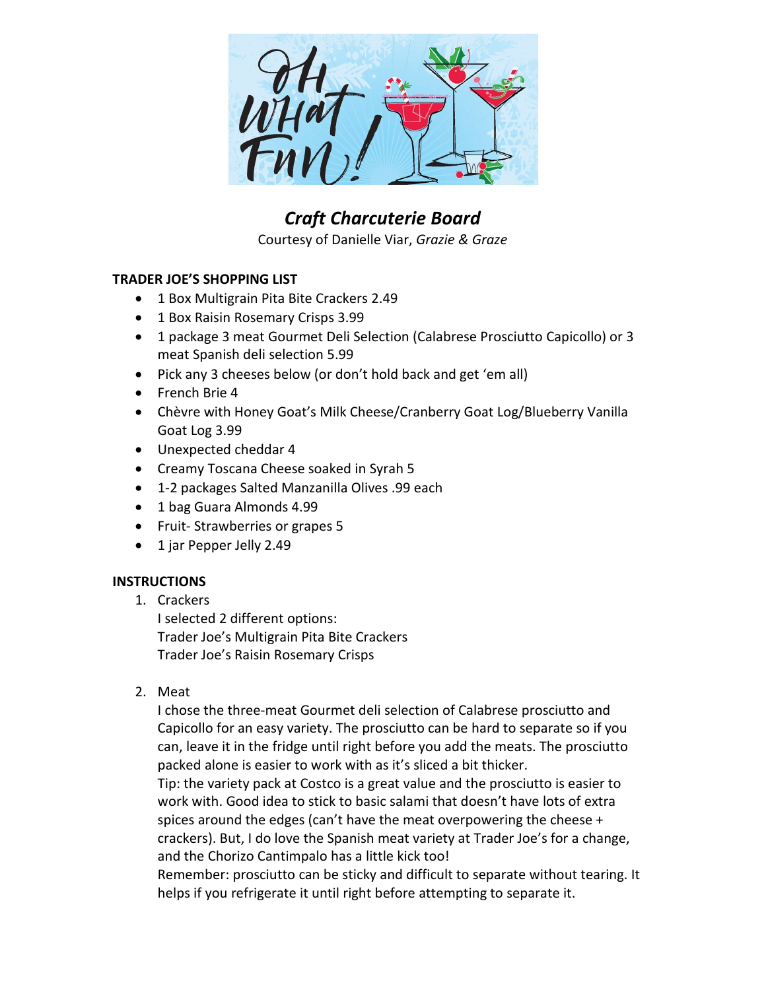

## *Craft Charcuterie Board*

Courtesy of Danielle Viar, *Grazie & Graze*

## **TRADER JOE'S SHOPPING LIST**

- 1 Box Multigrain Pita Bite Crackers 2.49
- 1 Box Raisin Rosemary Crisps 3.99
- 1 package 3 meat Gourmet Deli Selection (Calabrese Prosciutto Capicollo) or 3 meat Spanish deli selection 5.99
- Pick any 3 cheeses below (or don't hold back and get 'em all)
- French Brie 4
- Chèvre with Honey Goat's Milk Cheese/Cranberry Goat Log/Blueberry Vanilla Goat Log 3.99
- Unexpected cheddar 4
- Creamy Toscana Cheese soaked in Syrah 5
- 1-2 packages Salted Manzanilla Olives .99 each
- 1 bag Guara Almonds 4.99
- Fruit- Strawberries or grapes 5
- 1 jar Pepper Jelly 2.49

## **INSTRUCTIONS**

1. Crackers

I selected 2 different options: Trader Joe's Multigrain Pita Bite Crackers Trader Joe's Raisin Rosemary Crisps

2. Meat

I chose the three-meat Gourmet deli selection of Calabrese prosciutto and Capicollo for an easy variety. The prosciutto can be hard to separate so if you can, leave it in the fridge until right before you add the meats. The prosciutto packed alone is easier to work with as it's sliced a bit thicker.

Tip: the variety pack at Costco is a great value and the prosciutto is easier to work with. Good idea to stick to basic salami that doesn't have lots of extra spices around the edges (can't have the meat overpowering the cheese + crackers). But, I do love the Spanish meat variety at Trader Joe's for a change, and the Chorizo Cantimpalo has a little kick too!

Remember: prosciutto can be sticky and difficult to separate without tearing. It helps if you refrigerate it until right before attempting to separate it.